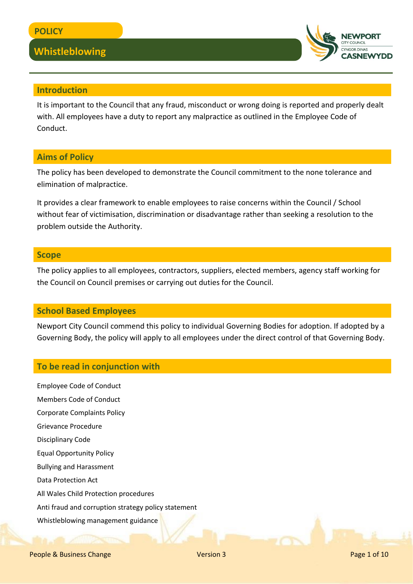

#### **Introduction**

It is important to the Council that any fraud, misconduct or wrong doing is reported and properly dealt with. All employees have a duty to report any malpractice as outlined in the Employee Code of Conduct.

#### **Aims of Policy**

The policy has been developed to demonstrate the Council commitment to the none tolerance and elimination of malpractice.

It provides a clear framework to enable employees to raise concerns within the Council / School without fear of victimisation, discrimination or disadvantage rather than seeking a resolution to the problem outside the Authority.

#### **Scope**

The policy applies to all employees, contractors, suppliers, elected members, agency staff working for the Council on Council premises or carrying out duties for the Council.

#### **School Based Employees**

Newport City Council commend this policy to individual Governing Bodies for adoption. If adopted by a Governing Body, the policy will apply to all employees under the direct control of that Governing Body.

#### **To be read in conjunction with**

Employee Code of Conduct Members Code of Conduct Corporate Complaints Policy Grievance Procedure Disciplinary Code Equal Opportunity Policy Bullying and Harassment Data Protection Act All Wales Child Protection procedures Anti fraud and corruption strategy policy statement Whistleblowing management guidance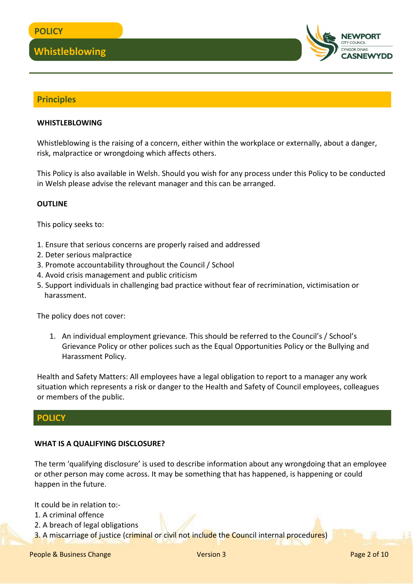

#### **Principles**

#### **WHISTLEBLOWING**

Whistleblowing is the raising of a concern, either within the workplace or externally, about a danger, risk, malpractice or wrongdoing which affects others.

This Policy is also available in Welsh. Should you wish for any process under this Policy to be conducted in Welsh please advise the relevant manager and this can be arranged.

#### **OUTLINE**

This policy seeks to:

- 1. Ensure that serious concerns are properly raised and addressed
- 2. Deter serious malpractice
- 3. Promote accountability throughout the Council / School
- 4. Avoid crisis management and public criticism
- 5. Support individuals in challenging bad practice without fear of recrimination, victimisation or harassment.

The policy does not cover:

1. An individual employment grievance. This should be referred to the Council's / School's Grievance Policy or other polices such as the Equal Opportunities Policy or the Bullying and Harassment Policy.

Health and Safety Matters: All employees have a legal obligation to report to a manager any work situation which represents a risk or danger to the Health and Safety of Council employees, colleagues or members of the public.

#### **POLICY**

#### **WHAT IS A QUALIFYING DISCLOSURE?**

The term 'qualifying disclosure' is used to describe information about any wrongdoing that an employee or other person may come across. It may be something that has happened, is happening or could happen in the future.

It could be in relation to:-

- 1. A criminal offence
- 2. A breach of legal obligations
- 3. A miscarriage of justice (criminal or civil not include the Council internal procedures)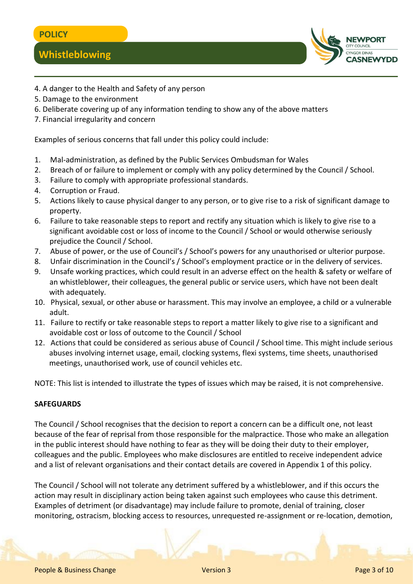

- 4. A danger to the Health and Safety of any person
- 5. Damage to the environment
- 6. Deliberate covering up of any information tending to show any of the above matters
- 7. Financial irregularity and concern

Examples of serious concerns that fall under this policy could include:

- 1. Mal-administration, as defined by the Public Services Ombudsman for Wales
- 2. Breach of or failure to implement or comply with any policy determined by the Council / School.
- 3. Failure to comply with appropriate professional standards.
- 4. Corruption or Fraud.
- 5. Actions likely to cause physical danger to any person, or to give rise to a risk of significant damage to property.
- 6. Failure to take reasonable steps to report and rectify any situation which is likely to give rise to a significant avoidable cost or loss of income to the Council / School or would otherwise seriously prejudice the Council / School.
- 7. Abuse of power, or the use of Council's / School's powers for any unauthorised or ulterior purpose.
- 8. Unfair discrimination in the Council's / School's employment practice or in the delivery of services.
- 9. Unsafe working practices, which could result in an adverse effect on the health & safety or welfare of an whistleblower, their colleagues, the general public or service users, which have not been dealt with adequately.
- 10. Physical, sexual, or other abuse or harassment. This may involve an employee, a child or a vulnerable adult.
- 11. Failure to rectify or take reasonable steps to report a matter likely to give rise to a significant and avoidable cost or loss of outcome to the Council / School
- 12. Actions that could be considered as serious abuse of Council / School time. This might include serious abuses involving internet usage, email, clocking systems, flexi systems, time sheets, unauthorised meetings, unauthorised work, use of council vehicles etc.

NOTE: This list is intended to illustrate the types of issues which may be raised, it is not comprehensive.

#### **SAFEGUARDS**

The Council / School recognises that the decision to report a concern can be a difficult one, not least because of the fear of reprisal from those responsible for the malpractice. Those who make an allegation in the public interest should have nothing to fear as they will be doing their duty to their employer, colleagues and the public. Employees who make disclosures are entitled to receive independent advice and a list of relevant organisations and their contact details are covered in Appendix 1 of this policy.

The Council / School will not tolerate any detriment suffered by a whistleblower, and if this occurs the action may result in disciplinary action being taken against such employees who cause this detriment. Examples of detriment (or disadvantage) may include failure to promote, denial of training, closer monitoring, ostracism, blocking access to resources, unrequested re-assignment or re-location, demotion,

People & Business Change Network 2012 12:00:00 Network 2012 12:00:00 Page 3 of 10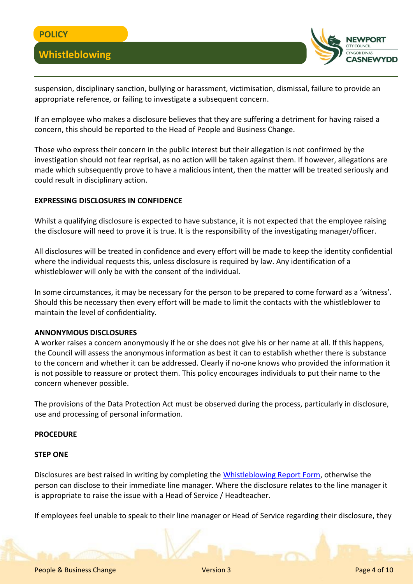

suspension, disciplinary sanction, bullying or harassment, victimisation, dismissal, failure to provide an appropriate reference, or failing to investigate a subsequent concern.

If an employee who makes a disclosure believes that they are suffering a detriment for having raised a concern, this should be reported to the Head of People and Business Change.

Those who express their concern in the public interest but their allegation is not confirmed by the investigation should not fear reprisal, as no action will be taken against them. If however, allegations are made which subsequently prove to have a malicious intent, then the matter will be treated seriously and could result in disciplinary action.

#### **EXPRESSING DISCLOSURES IN CONFIDENCE**

Whilst a qualifying disclosure is expected to have substance, it is not expected that the employee raising the disclosure will need to prove it is true. It is the responsibility of the investigating manager/officer.

All disclosures will be treated in confidence and every effort will be made to keep the identity confidential where the individual requests this, unless disclosure is required by law. Any identification of a whistleblower will only be with the consent of the individual.

In some circumstances, it may be necessary for the person to be prepared to come forward as a 'witness'. Should this be necessary then every effort will be made to limit the contacts with the whistleblower to maintain the level of confidentiality.

#### **ANNONYMOUS DISCLOSURES**

A worker raises a concern anonymously if he or she does not give his or her name at all. If this happens, the Council will assess the anonymous information as best it can to establish whether there is substance to the concern and whether it can be addressed. Clearly if no-one knows who provided the information it is not possible to reassure or protect them. This policy encourages individuals to put their name to the concern whenever possible.

The provisions of the Data Protection Act must be observed during the process, particularly in disclosure, use and processing of personal information.

#### **PROCEDURE**

#### **STEP ONE**

Disclosures are best raised in writing by completing the [Whistleblowing Report Form,](file:///C:/Users/cercas/Documents/HR-Whistleblowing-Report-Form.docx) otherwise the person can disclose to their immediate line manager. Where the disclosure relates to the line manager it is appropriate to raise the issue with a Head of Service / Headteacher.

If employees feel unable to speak to their line manager or Head of Service regarding their disclosure, they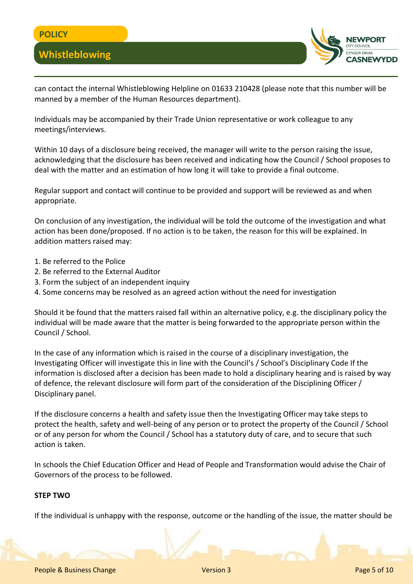

can contact the internal Whistleblowing Helpline on 01633 210428 (please note that this number will be manned by a member of the Human Resources department).

Individuals may be accompanied by their Trade Union representative or work colleague to any meetings/interviews.

Within 10 days of a disclosure being received, the manager will write to the person raising the issue, acknowledging that the disclosure has been received and indicating how the Council / School proposes to deal with the matter and an estimation of how long it will take to provide a final outcome.

Regular support and contact will continue to be provided and support will be reviewed as and when appropriate.

On conclusion of any investigation, the individual will be told the outcome of the investigation and what action has been done/proposed. If no action is to be taken, the reason for this will be explained. In addition matters raised may:

- 1. Be referred to the Police
- 2. Be referred to the External Auditor
- 3. Form the subject of an independent inquiry
- 4. Some concerns may be resolved as an agreed action without the need for investigation

Should it be found that the matters raised fall within an alternative policy, e.g. the disciplinary policy the individual will be made aware that the matter is being forwarded to the appropriate person within the Council / School.

In the case of any information which is raised in the course of a disciplinary investigation, the Investigating Officer will investigate this in line with the Council's / School's Disciplinary Code If the information is disclosed after a decision has been made to hold a disciplinary hearing and is raised by way of defence, the relevant disclosure will form part of the consideration of the Disciplining Officer / Disciplinary panel.

If the disclosure concerns a health and safety issue then the Investigating Officer may take steps to protect the health, safety and well-being of any person or to protect the property of the Council / School or of any person for whom the Council / School has a statutory duty of care, and to secure that such action is taken.

In schools the Chief Education Officer and Head of People and Transformation would advise the Chair of Governors of the process to be followed.

#### **STEP TWO**

If the individual is unhappy with the response, outcome or the handling of the issue, the matter should be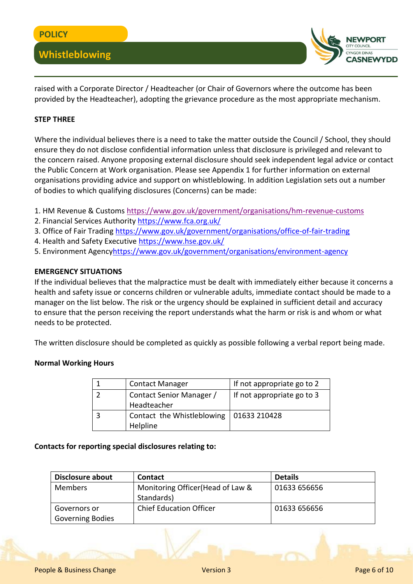

raised with a Corporate Director / Headteacher (or Chair of Governors where the outcome has been provided by the Headteacher), adopting the grievance procedure as the most appropriate mechanism.

#### **STEP THREE**

Where the individual believes there is a need to take the matter outside the Council / School, they should ensure they do not disclose confidential information unless that disclosure is privileged and relevant to the concern raised. Anyone proposing external disclosure should seek independent legal advice or contact the Public Concern at Work organisation. Please see Appendix 1 for further information on external organisations providing advice and support on whistleblowing. In addition Legislation sets out a number of bodies to which qualifying disclosures (Concerns) can be made:

- 1. HM Revenue & Customs<https://www.gov.uk/government/organisations/hm-revenue-customs>
- 2. Financial Services Authority<https://www.fca.org.uk/>
- 3. Office of Fair Trading<https://www.gov.uk/government/organisations/office-of-fair-trading>
- 4. Health and Safety Executive<https://www.hse.gov.uk/>
- 5. Environment Agenc[yhttps://www.gov.uk/government/organisations/environment-agency](https://www.gov.uk/government/organisations/environment-agency)

#### **EMERGENCY SITUATIONS**

If the individual believes that the malpractice must be dealt with immediately either because it concerns a health and safety issue or concerns children or vulnerable adults, immediate contact should be made to a manager on the list below. The risk or the urgency should be explained in sufficient detail and accuracy to ensure that the person receiving the report understands what the harm or risk is and whom or what needs to be protected.

The written disclosure should be completed as quickly as possible following a verbal report being made.

#### **Normal Working Hours**

| <b>Contact Manager</b>                    | If not appropriate go to 2 |
|-------------------------------------------|----------------------------|
| Contact Senior Manager /                  | If not appropriate go to 3 |
| Headteacher                               |                            |
| Contact the Whistleblowing   01633 210428 |                            |
| Helpline                                  |                            |

#### **Contacts for reporting special disclosures relating to:**

| Disclosure about                        | <b>Contact</b>                                  | <b>Details</b> |
|-----------------------------------------|-------------------------------------------------|----------------|
| <b>Members</b>                          | Monitoring Officer (Head of Law &<br>Standards) | 01633 656656   |
| Governors or<br><b>Governing Bodies</b> | <b>Chief Education Officer</b>                  | 01633 656656   |

People & Business Change Network 2012 12:00:00 Network 2012 12:00:00 Page 6 of 10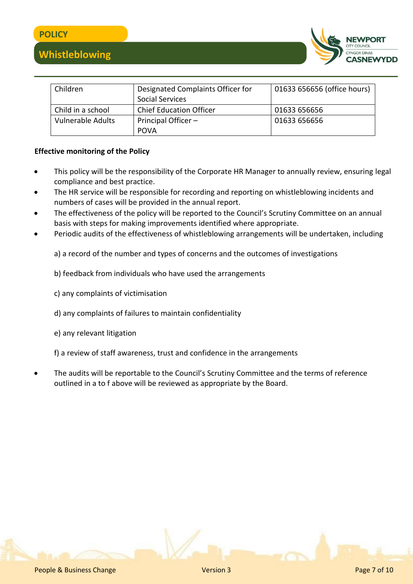



| Children                 | Designated Complaints Officer for | 01633 656656 (office hours) |
|--------------------------|-----------------------------------|-----------------------------|
|                          | <b>Social Services</b>            |                             |
| Child in a school        | <b>Chief Education Officer</b>    | 01633 656656                |
| <b>Vulnerable Adults</b> | Principal Officer -               | 01633 656656                |
|                          | <b>POVA</b>                       |                             |

#### **Effective monitoring of the Policy**

- This policy will be the responsibility of the Corporate HR Manager to annually review, ensuring legal compliance and best practice.
- The HR service will be responsible for recording and reporting on whistleblowing incidents and numbers of cases will be provided in the annual report.
- The effectiveness of the policy will be reported to the Council's Scrutiny Committee on an annual basis with steps for making improvements identified where appropriate.
- Periodic audits of the effectiveness of whistleblowing arrangements will be undertaken, including

a) a record of the number and types of concerns and the outcomes of investigations

- b) feedback from individuals who have used the arrangements
- c) any complaints of victimisation
- d) any complaints of failures to maintain confidentiality
- e) any relevant litigation

f) a review of staff awareness, trust and confidence in the arrangements

 The audits will be reportable to the Council's Scrutiny Committee and the terms of reference outlined in a to f above will be reviewed as appropriate by the Board.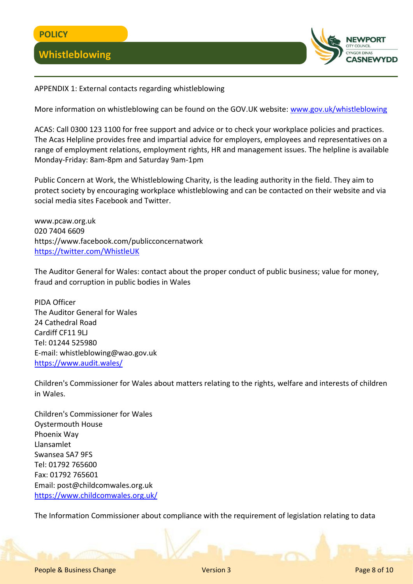

APPENDIX 1: External contacts regarding whistleblowing

More information on whistleblowing can be found on the GOV.UK website: [www.gov.uk/whistleblowing](http://www.gov.uk/whistleblowing)

ACAS: Call 0300 123 1100 for free support and advice or to check your workplace policies and practices. The Acas Helpline provides free and impartial advice for employers, employees and representatives on a range of employment relations, employment rights, HR and management issues. The helpline is available Monday-Friday: 8am-8pm and Saturday 9am-1pm

Public Concern at Work, the Whistleblowing Charity, is the leading authority in the field. They aim to protect society by encouraging workplace whistleblowing and can be contacted on their website and via social media sites Facebook and Twitter.

www.pcaw.org.uk 020 7404 6609 https://www.facebook.com/publicconcernatwork <https://twitter.com/WhistleUK>

The Auditor General for Wales: contact about the proper conduct of public business; value for money, fraud and corruption in public bodies in Wales

PIDA Officer The Auditor General for Wales 24 Cathedral Road Cardiff CF11 9LJ Tel: 01244 525980 E-mail: whistleblowing@wao.gov.uk <https://www.audit.wales/>

Children's Commissioner for Wales about matters relating to the rights, welfare and interests of children in Wales.

Children's Commissioner for Wales Oystermouth House Phoenix Way Llansamlet Swansea SA7 9FS Tel: 01792 765600 Fax: 01792 765601 Email: post@childcomwales.org.uk <https://www.childcomwales.org.uk/>

The Information Commissioner about compliance with the requirement of legislation relating to data

People & Business Change Network 2012 12:00:00 Network 2012 12:00:00 Page 8 of 10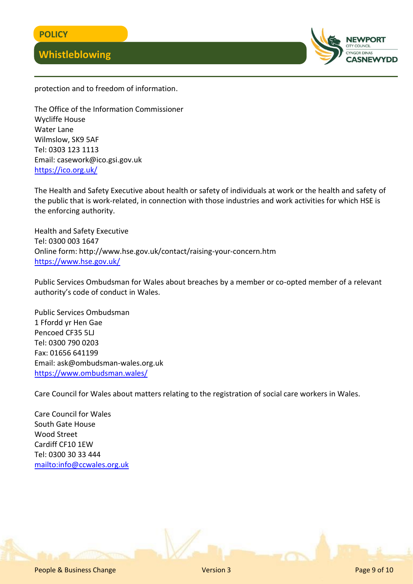

protection and to freedom of information.

The Office of the Information Commissioner Wycliffe House Water Lane Wilmslow, SK9 5AF Tel: 0303 123 1113 Email: casework@ico.gsi.gov.uk <https://ico.org.uk/>

The Health and Safety Executive about health or safety of individuals at work or the health and safety of the public that is work-related, in connection with those industries and work activities for which HSE is the enforcing authority.

Health and Safety Executive Tel: 0300 003 1647 Online form: http://www.hse.gov.uk/contact/raising-your-concern.htm <https://www.hse.gov.uk/>

Public Services Ombudsman for Wales about breaches by a member or co-opted member of a relevant authority's code of conduct in Wales.

Public Services Ombudsman 1 Ffordd yr Hen Gae Pencoed CF35 5LJ Tel: 0300 790 0203 Fax: 01656 641199 Email: ask@ombudsman-wales.org.uk <https://www.ombudsman.wales/>

Care Council for Wales about matters relating to the registration of social care workers in Wales.

Care Council for Wales South Gate House Wood Street Cardiff CF10 1EW Tel: 0300 30 33 444 <mailto:info@ccwales.org.uk>